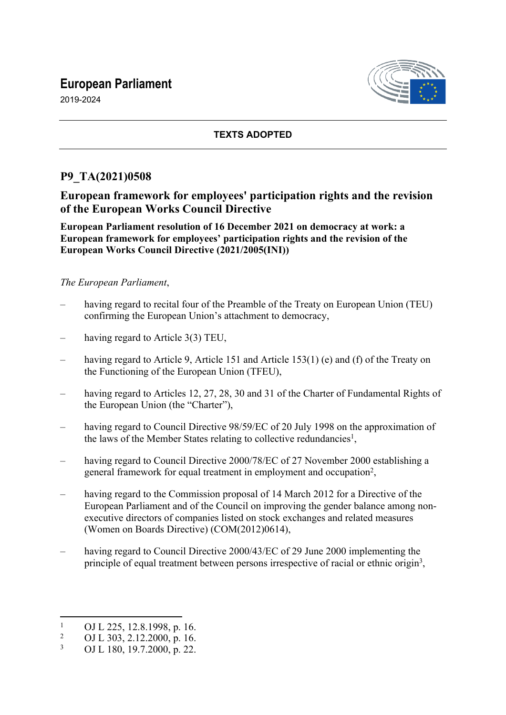# **European Parliament**

2019-2024



### **TEXTS ADOPTED**

# **P9\_TA(2021)0508**

## **European framework for employees' participation rights and the revision of the European Works Council Directive**

**European Parliament resolution of 16 December 2021 on democracy at work: a European framework for employees' participation rights and the revision of the European Works Council Directive (2021/2005(INI))**

#### *The European Parliament*,

- having regard to recital four of the Preamble of the Treaty on European Union (TEU) confirming the European Union's attachment to democracy,
- having regard to Article 3(3) TEU,
- having regard to Article 9, Article 151 and Article 153(1) (e) and (f) of the Treaty on the Functioning of the European Union (TFEU),
- having regard to Articles 12, 27, 28, 30 and 31 of the Charter of Fundamental Rights of the European Union (the "Charter"),
- having regard to Council Directive 98/59/EC of 20 July 1998 on the approximation of the laws of the Member States relating to collective redundancies<sup>1</sup>,
- having regard to Council Directive 2000/78/EC of 27 November 2000 establishing a general framework for equal treatment in employment and occupation<sup>2</sup>,
- having regard to the Commission proposal of 14 March 2012 for a Directive of the European Parliament and of the Council on improving the gender balance among nonexecutive directors of companies listed on stock exchanges and related measures (Women on Boards Directive) (COM(2012)0614),
- having regard to Council Directive 2000/43/EC of 29 June 2000 implementing the principle of equal treatment between persons irrespective of racial or ethnic origin<sup>3</sup>,

<sup>1</sup> OJ L 225, 12.8.1998, p. 16.

<sup>2</sup> OJ L 303, 2.12.2000, p. 16.

<sup>3</sup> OJ L 180, 19.7.2000, p. 22.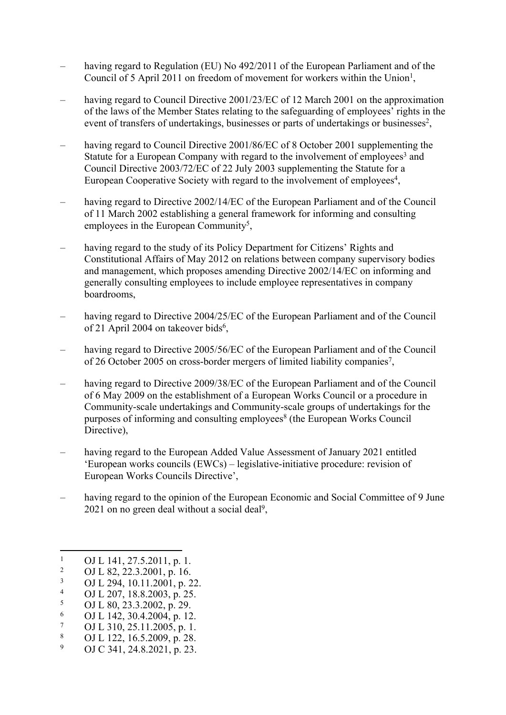- having regard to Regulation (EU) No 492/2011 of the European Parliament and of the Council of 5 April 2011 on freedom of movement for workers within the Union<sup>1</sup>,
- having regard to Council Directive 2001/23/EC of 12 March 2001 on the approximation of the laws of the Member States relating to the safeguarding of employees' rights in the event of transfers of undertakings, businesses or parts of undertakings or businesses<sup>2</sup>,
- having regard to Council Directive 2001/86/EC of 8 October 2001 supplementing the Statute for a European Company with regard to the involvement of employees<sup>3</sup> and Council Directive 2003/72/EC of 22 July 2003 supplementing the Statute for a European Cooperative Society with regard to the involvement of employees<sup>4</sup>,
- having regard to Directive 2002/14/EC of the European Parliament and of the Council of 11 March 2002 establishing a general framework for informing and consulting employees in the European Community<sup>5</sup>,
- having regard to the study of its Policy Department for Citizens' Rights and Constitutional Affairs of May 2012 on relations between company supervisory bodies and management, which proposes amending Directive 2002/14/EC on informing and generally consulting employees to include employee representatives in company boardrooms,
- having regard to Directive 2004/25/EC of the European Parliament and of the Council of 21 April 2004 on takeover bids<sup>6</sup>,
- having regard to Directive 2005/56/EC of the European Parliament and of the Council of 26 October 2005 on cross-border mergers of limited liability companies<sup>7</sup>,
- having regard to Directive 2009/38/EC of the European Parliament and of the Council of 6 May 2009 on the establishment of a European Works Council or a procedure in Community-scale undertakings and Community-scale groups of undertakings for the purposes of informing and consulting employees<sup>8</sup> (the European Works Council Directive).
- having regard to the European Added Value Assessment of January 2021 entitled 'European works councils (EWCs) – legislative-initiative procedure: revision of European Works Councils Directive',
- having regard to the opinion of the European Economic and Social Committee of 9 June 2021 on no green deal without a social deal<sup>9</sup>,

9 OJ C 341, 24.8.2021, p. 23.

<sup>1</sup> OJ L 141, 27.5.2011, p. 1.

<sup>2</sup> OJ L 82, 22.3.2001, p. 16.

<sup>3</sup> OJ L 294, 10.11.2001, p. 22.

<sup>4</sup> OJ L 207, 18.8.2003, p. 25.

<sup>5</sup> OJ L 80, 23.3.2002, p. 29.

<sup>6</sup> OJ L 142, 30.4.2004, p. 12.

<sup>7</sup> OJ L 310, 25.11.2005, p. 1.

<sup>8</sup> OJ L 122, 16.5.2009, p. 28.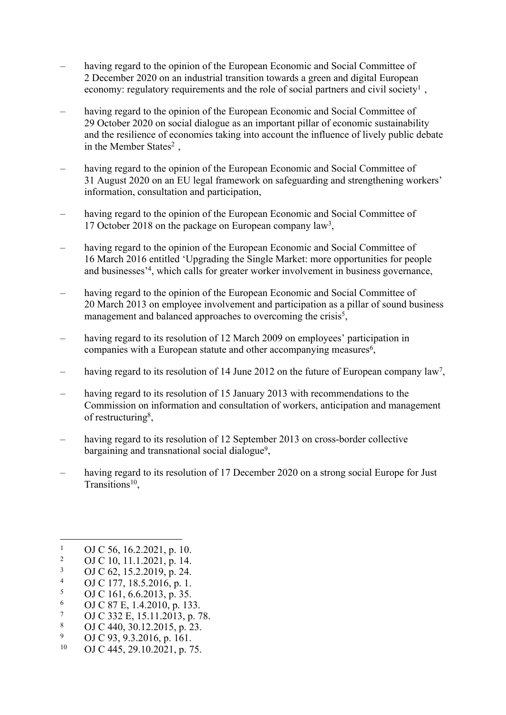- having regard to the opinion of the European Economic and Social Committee of 2 December 2020 on an industrial transition towards a green and digital European economy: regulatory requirements and the role of social partners and civil society<sup>1</sup>,
- having regard to the opinion of the European Economic and Social Committee of 29 October 2020 on social dialogue as an important pillar of economic sustainability and the resilience of economies taking into account the influence of lively public debate in the Member States<sup>2</sup>,
- having regard to the opinion of the European Economic and Social Committee of 31 August 2020 on an EU legal framework on safeguarding and strengthening workers' information, consultation and participation,
- having regard to the opinion of the European Economic and Social Committee of 17 October 2018 on the package on European company law<sup>3</sup>,
- having regard to the opinion of the European Economic and Social Committee of 16 March 2016 entitled 'Upgrading the Single Market: more opportunities for people and businesses'<sup>4</sup> , which calls for greater worker involvement in business governance,
- having regard to the opinion of the European Economic and Social Committee of 20 March 2013 on employee involvement and participation as a pillar of sound business management and balanced approaches to overcoming the crisis<sup>5</sup>,
- having regard to its resolution of 12 March 2009 on employees' participation in companies with a European statute and other accompanying measures<sup>6</sup>,
- having regard to its resolution of 14 June 2012 on the future of European company law<sup>7</sup>,
- having regard to its resolution of 15 January 2013 with recommendations to the Commission on information and consultation of workers, anticipation and management of restructuring<sup>8</sup>,
- having regard to its resolution of 12 September 2013 on cross-border collective bargaining and transnational social dialogue<sup>9</sup>,
- having regard to its resolution of 17 December 2020 on a strong social Europe for Just Transitions<sup>10</sup>,

- OJ C 161, 6.6.2013, p. 35.
- 6 OJ C 87 E, 1.4.2010, p. 133. 7
- OJ C 332 E, 15.11.2013, p. 78. 8
- OJ C 440, 30.12.2015, p. 23. 9
- <sup>9</sup> OJ C 93, 9.3.2016, p. 161.
- OJ C 445, 29.10.2021, p. 75.

<sup>1</sup> OJ C 56, 16.2.2021, p. 10.

 $\overline{2}$ OJ C 10, 11.1.2021, p. 14.

<sup>3</sup> OJ C 62, 15.2.2019, p. 24. 4

OJ C 177, 18.5.2016, p. 1. 5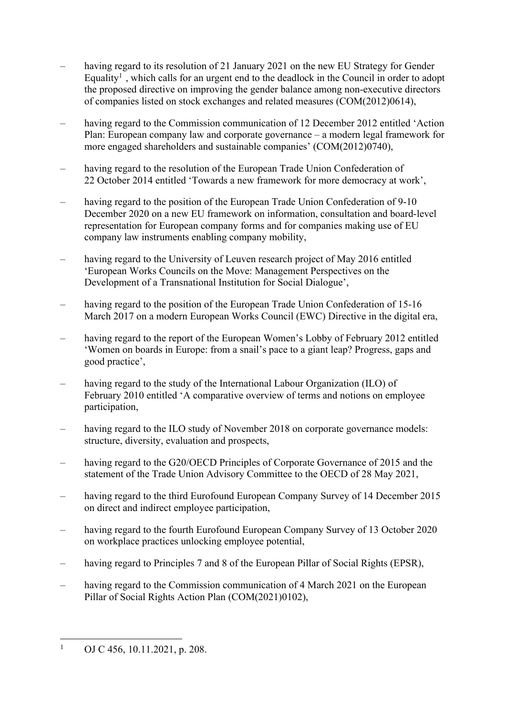- having regard to its resolution of 21 January 2021 on the new EU Strategy for Gender Equality<sup>1</sup>, which calls for an urgent end to the deadlock in the Council in order to adopt the proposed directive on improving the gender balance among non-executive directors of companies listed on stock exchanges and related measures (COM(2012)0614),
- having regard to the Commission communication of 12 December 2012 entitled 'Action Plan: European company law and corporate governance – a modern legal framework for more engaged shareholders and sustainable companies' (COM(2012)0740),
- having regard to the resolution of the European Trade Union Confederation of 22 October 2014 entitled 'Towards a new framework for more democracy at work',
- having regard to the position of the European Trade Union Confederation of 9-10 December 2020 on a new EU framework on information, consultation and board-level representation for European company forms and for companies making use of EU company law instruments enabling company mobility,
- having regard to the University of Leuven research project of May 2016 entitled 'European Works Councils on the Move: Management Perspectives on the Development of a Transnational Institution for Social Dialogue',
- having regard to the position of the European Trade Union Confederation of 15-16 March 2017 on a modern European Works Council (EWC) Directive in the digital era,
- having regard to the report of the European Women's Lobby of February 2012 entitled 'Women on boards in Europe: from a snail's pace to a giant leap? Progress, gaps and good practice',
- having regard to the study of the International Labour Organization (ILO) of February 2010 entitled 'A comparative overview of terms and notions on employee participation,
- having regard to the ILO study of November 2018 on corporate governance models: structure, diversity, evaluation and prospects,
- having regard to the G20/OECD Principles of Corporate Governance of 2015 and the statement of the Trade Union Advisory Committee to the OECD of 28 May 2021,
- having regard to the third Eurofound European Company Survey of 14 December 2015 on direct and indirect employee participation,
- having regard to the fourth Eurofound European Company Survey of 13 October 2020 on workplace practices unlocking employee potential,
- having regard to Principles 7 and 8 of the European Pillar of Social Rights (EPSR),
- having regard to the Commission communication of 4 March 2021 on the European Pillar of Social Rights Action Plan (COM(2021)0102),

<sup>1</sup> OJ C 456, 10.11.2021, p. 208.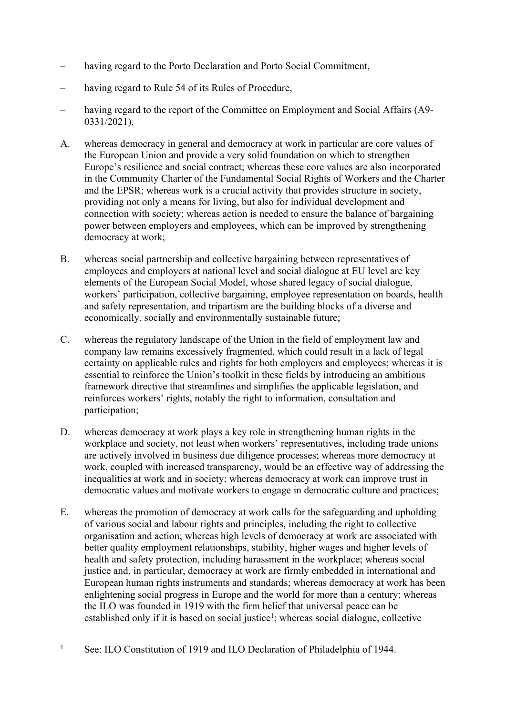- having regard to the Porto Declaration and Porto Social Commitment,
- having regard to Rule 54 of its Rules of Procedure,
- having regard to the report of the Committee on Employment and Social Affairs (A9- 0331/2021),
- A. whereas democracy in general and democracy at work in particular are core values of the European Union and provide a very solid foundation on which to strengthen Europe's resilience and social contract; whereas these core values are also incorporated in the Community Charter of the Fundamental Social Rights of Workers and the Charter and the EPSR; whereas work is a crucial activity that provides structure in society, providing not only a means for living, but also for individual development and connection with society; whereas action is needed to ensure the balance of bargaining power between employers and employees, which can be improved by strengthening democracy at work;
- B. whereas social partnership and collective bargaining between representatives of employees and employers at national level and social dialogue at EU level are key elements of the European Social Model, whose shared legacy of social dialogue, workers' participation, collective bargaining, employee representation on boards, health and safety representation, and tripartism are the building blocks of a diverse and economically, socially and environmentally sustainable future;
- C. whereas the regulatory landscape of the Union in the field of employment law and company law remains excessively fragmented, which could result in a lack of legal certainty on applicable rules and rights for both employers and employees; whereas it is essential to reinforce the Union's toolkit in these fields by introducing an ambitious framework directive that streamlines and simplifies the applicable legislation, and reinforces workers' rights, notably the right to information, consultation and participation;
- D. whereas democracy at work plays a key role in strengthening human rights in the workplace and society, not least when workers' representatives, including trade unions are actively involved in business due diligence processes; whereas more democracy at work, coupled with increased transparency, would be an effective way of addressing the inequalities at work and in society; whereas democracy at work can improve trust in democratic values and motivate workers to engage in democratic culture and practices;
- E. whereas the promotion of democracy at work calls for the safeguarding and upholding of various social and labour rights and principles, including the right to collective organisation and action; whereas high levels of democracy at work are associated with better quality employment relationships, stability, higher wages and higher levels of health and safety protection, including harassment in the workplace; whereas social justice and, in particular, democracy at work are firmly embedded in international and European human rights instruments and standards; whereas democracy at work has been enlightening social progress in Europe and the world for more than a century; whereas the ILO was founded in 1919 with the firm belief that universal peace can be established only if it is based on social justice<sup>1</sup>; whereas social dialogue, collective

<sup>1</sup> See: ILO Constitution of 1919 and ILO Declaration of Philadelphia of 1944.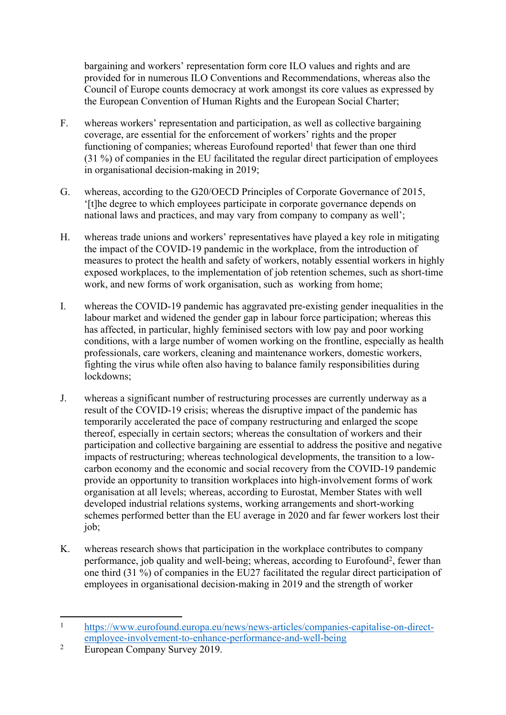bargaining and workers' representation form core ILO values and rights and are provided for in numerous ILO Conventions and Recommendations, whereas also the Council of Europe counts democracy at work amongst its core values as expressed by the European Convention of Human Rights and the European Social Charter;

- F. whereas workers' representation and participation, as well as collective bargaining coverage, are essential for the enforcement of workers' rights and the proper functioning of companies; whereas Eurofound reported<sup>1</sup> that fewer than one third (31 %) of companies in the EU facilitated the regular direct participation of employees in organisational decision-making in 2019;
- G. whereas, according to the G20/OECD Principles of Corporate Governance of 2015, '[t]he degree to which employees participate in corporate governance depends on national laws and practices, and may vary from company to company as well';
- H. whereas trade unions and workers' representatives have played a key role in mitigating the impact of the COVID-19 pandemic in the workplace, from the introduction of measures to protect the health and safety of workers, notably essential workers in highly exposed workplaces, to the implementation of job retention schemes, such as short-time work, and new forms of work organisation, such as working from home;
- I. whereas the COVID-19 pandemic has aggravated pre-existing gender inequalities in the labour market and widened the gender gap in labour force participation; whereas this has affected, in particular, highly feminised sectors with low pay and poor working conditions, with a large number of women working on the frontline, especially as health professionals, care workers, cleaning and maintenance workers, domestic workers, fighting the virus while often also having to balance family responsibilities during lockdowns;
- J. whereas a significant number of restructuring processes are currently underway as a result of the COVID-19 crisis; whereas the disruptive impact of the pandemic has temporarily accelerated the pace of company restructuring and enlarged the scope thereof, especially in certain sectors; whereas the consultation of workers and their participation and collective bargaining are essential to address the positive and negative impacts of restructuring; whereas technological developments, the transition to a lowcarbon economy and the economic and social recovery from the COVID-19 pandemic provide an opportunity to transition workplaces into high-involvement forms of work organisation at all levels; whereas, according to Eurostat, Member States with well developed industrial relations systems, working arrangements and short-working schemes performed better than the EU average in 2020 and far fewer workers lost their job;
- K. whereas research shows that participation in the workplace contributes to company performance, job quality and well-being; whereas, according to Eurofound<sup>2</sup>, fewer than one third (31 %) of companies in the EU27 facilitated the regular direct participation of employees in organisational decision-making in 2019 and the strength of worker

<sup>1</sup> [https://www.eurofound.europa.eu/news/news-articles/companies-capitalise-on-direct](https://www.eurofound.europa.eu/news/news-articles/companies-capitalise-on-direct-employee-involvement-to-enhance-performance-and-well-being)[employee-involvement-to-enhance-performance-and-well-being](https://www.eurofound.europa.eu/news/news-articles/companies-capitalise-on-direct-employee-involvement-to-enhance-performance-and-well-being)

<sup>2</sup> European Company Survey 2019.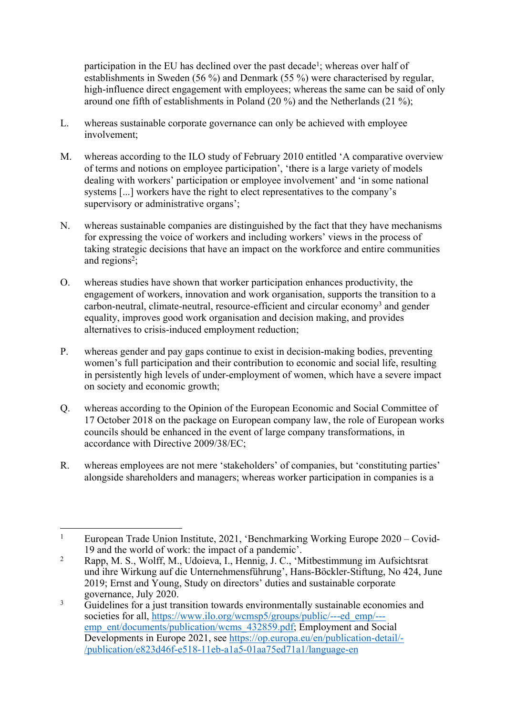participation in the EU has declined over the past decade<sup>1</sup>; whereas over half of establishments in Sweden (56 %) and Denmark (55 %) were characterised by regular, high-influence direct engagement with employees; whereas the same can be said of only around one fifth of establishments in Poland (20 %) and the Netherlands (21 %);

- L. whereas sustainable corporate governance can only be achieved with employee involvement;
- M. whereas according to the ILO study of February 2010 entitled 'A comparative overview of terms and notions on employee participation', 'there is a large variety of models dealing with workers' participation or employee involvement' and 'in some national systems [...] workers have the right to elect representatives to the company's supervisory or administrative organs';
- N. whereas sustainable companies are distinguished by the fact that they have mechanisms for expressing the voice of workers and including workers' views in the process of taking strategic decisions that have an impact on the workforce and entire communities and regions<sup>2</sup>;
- O. whereas studies have shown that worker participation enhances productivity, the engagement of workers, innovation and work organisation, supports the transition to a carbon-neutral, climate-neutral, resource-efficient and circular economy<sup>3</sup> and gender equality, improves good work organisation and decision making, and provides alternatives to crisis-induced employment reduction;
- P. whereas gender and pay gaps continue to exist in decision-making bodies, preventing women's full participation and their contribution to economic and social life, resulting in persistently high levels of under-employment of women, which have a severe impact on society and economic growth;
- Q. whereas according to the Opinion of the European Economic and Social Committee of 17 October 2018 on the package on European company law, the role of European works councils should be enhanced in the event of large company transformations, in accordance with Directive 2009/38/EC;
- R. whereas employees are not mere 'stakeholders' of companies, but 'constituting parties' alongside shareholders and managers; whereas worker participation in companies is a

<sup>1</sup> European Trade Union Institute, 2021, 'Benchmarking Working Europe 2020 – Covid-19 and the world of work: the impact of a pandemic'.

<sup>2</sup> Rapp, M. S., Wolff, M., Udoieva, I., Hennig, J. C., 'Mitbestimmung im Aufsichtsrat und ihre Wirkung auf die Unternehmensführung', Hans-Böckler-Stiftung, No 424, June 2019; Ernst and Young, Study on directors' duties and sustainable corporate governance, July 2020.

<sup>3</sup> Guidelines for a just transition towards environmentally sustainable economies and societies for all, [https://www.ilo.org/wcmsp5/groups/public/---ed\\_emp/--](https://www.ilo.org/wcmsp5/groups/public/---ed_emp/---emp_ent/documents/publication/wcms_432859.pdf) [emp\\_ent/documents/publication/wcms\\_432859.pdf;](https://www.ilo.org/wcmsp5/groups/public/---ed_emp/---emp_ent/documents/publication/wcms_432859.pdf) Employment and Social Developments in Europe 2021, see [https://op.europa.eu/en/publication-detail/-](https://op.europa.eu/en/publication-detail/-/publication/e823d46f-e518-11eb-a1a5-01aa75ed71a1/language-en) [/publication/e823d46f-e518-11eb-a1a5-01aa75ed71a1/language-en](https://op.europa.eu/en/publication-detail/-/publication/e823d46f-e518-11eb-a1a5-01aa75ed71a1/language-en)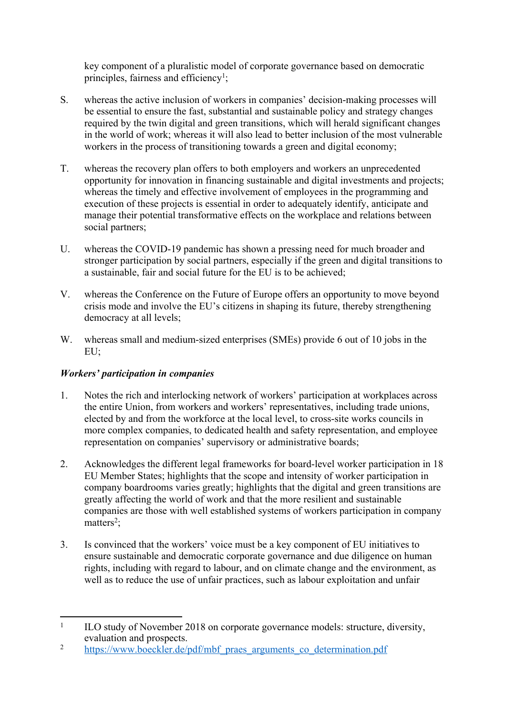key component of a pluralistic model of corporate governance based on democratic principles, fairness and efficiency<sup>1</sup>;

- S. whereas the active inclusion of workers in companies' decision-making processes will be essential to ensure the fast, substantial and sustainable policy and strategy changes required by the twin digital and green transitions, which will herald significant changes in the world of work; whereas it will also lead to better inclusion of the most vulnerable workers in the process of transitioning towards a green and digital economy;
- T. whereas the recovery plan offers to both employers and workers an unprecedented opportunity for innovation in financing sustainable and digital investments and projects; whereas the timely and effective involvement of employees in the programming and execution of these projects is essential in order to adequately identify, anticipate and manage their potential transformative effects on the workplace and relations between social partners;
- U. whereas the COVID-19 pandemic has shown a pressing need for much broader and stronger participation by social partners, especially if the green and digital transitions to a sustainable, fair and social future for the EU is to be achieved;
- V. whereas the Conference on the Future of Europe offers an opportunity to move beyond crisis mode and involve the EU's citizens in shaping its future, thereby strengthening democracy at all levels;
- W. whereas small and medium-sized enterprises (SMEs) provide 6 out of 10 jobs in the EU;

### *Workers' participation in companies*

- 1. Notes the rich and interlocking network of workers' participation at workplaces across the entire Union, from workers and workers' representatives, including trade unions, elected by and from the workforce at the local level, to cross-site works councils in more complex companies, to dedicated health and safety representation, and employee representation on companies' supervisory or administrative boards;
- 2. Acknowledges the different legal frameworks for board-level worker participation in 18 EU Member States; highlights that the scope and intensity of worker participation in company boardrooms varies greatly; highlights that the digital and green transitions are greatly affecting the world of work and that the more resilient and sustainable companies are those with well established systems of workers participation in company matters<sup>2</sup>;
- 3. Is convinced that the workers' voice must be a key component of EU initiatives to ensure sustainable and democratic corporate governance and due diligence on human rights, including with regard to labour, and on climate change and the environment, as well as to reduce the use of unfair practices, such as labour exploitation and unfair

<sup>1</sup> ILO study of November 2018 on corporate governance models: structure, diversity, evaluation and prospects.

<sup>&</sup>lt;sup>2</sup> https://www.boeckler.de/pdf/mbf praes\_arguments\_co\_determination.pdf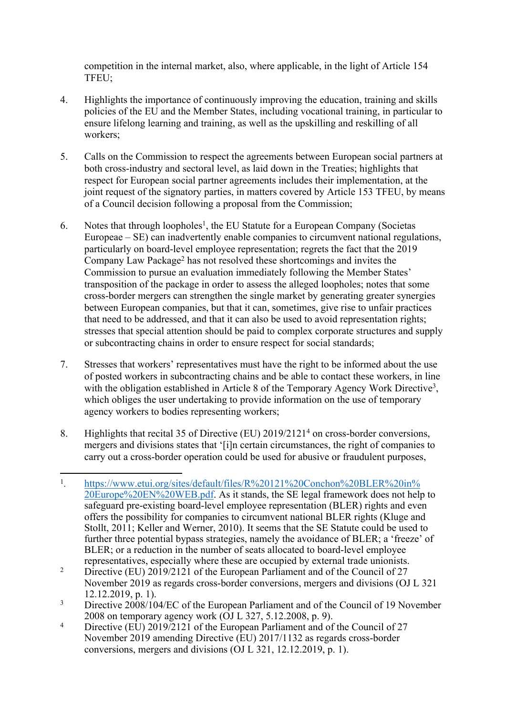competition in the internal market, also, where applicable, in the light of Article 154 TFEU;

- 4. Highlights the importance of continuously improving the education, training and skills policies of the EU and the Member States, including vocational training, in particular to ensure lifelong learning and training, as well as the upskilling and reskilling of all workers;
- 5. Calls on the Commission to respect the agreements between European social partners at both cross-industry and sectoral level, as laid down in the Treaties; highlights that respect for European social partner agreements includes their implementation, at the joint request of the signatory parties, in matters covered by Article 153 TFEU, by means of a Council decision following a proposal from the Commission;
- 6. Notes that through loopholes<sup>1</sup>, the EU Statute for a European Company (Societas Europeae – SE) can inadvertently enable companies to circumvent national regulations, particularly on board-level employee representation; regrets the fact that the 2019 Company Law Package<sup>2</sup> has not resolved these shortcomings and invites the Commission to pursue an evaluation immediately following the Member States' transposition of the package in order to assess the alleged loopholes; notes that some cross-border mergers can strengthen the single market by generating greater synergies between European companies, but that it can, sometimes, give rise to unfair practices that need to be addressed, and that it can also be used to avoid representation rights; stresses that special attention should be paid to complex corporate structures and supply or subcontracting chains in order to ensure respect for social standards;
- 7. Stresses that workers' representatives must have the right to be informed about the use of posted workers in subcontracting chains and be able to contact these workers, in line with the obligation established in Article 8 of the Temporary Agency Work Directive<sup>3</sup>, which obliges the user undertaking to provide information on the use of temporary agency workers to bodies representing workers;
- 8. Highlights that recital 35 of Directive (EU) 2019/2121<sup>4</sup> on cross-border conversions, mergers and divisions states that '[i]n certain circumstances, the right of companies to carry out a cross-border operation could be used for abusive or fraudulent purposes,

<sup>1</sup> . [https://www.etui.org/sites/default/files/R%20121%20Conchon%20BLER%20in%](https://www.etui.org/sites/default/files/R%20121%20Conchon%20BLER%20in%20Europe%20EN%20WEB.pdf) [20Europe%20EN%20WEB.pdf.](https://www.etui.org/sites/default/files/R%20121%20Conchon%20BLER%20in%20Europe%20EN%20WEB.pdf) As it stands, the SE legal framework does not help to safeguard pre-existing board-level employee representation (BLER) rights and even offers the possibility for companies to circumvent national BLER rights (Kluge and Stollt, 2011; Keller and Werner, 2010). It seems that the SE Statute could be used to further three potential bypass strategies, namely the avoidance of BLER; a 'freeze' of BLER; or a reduction in the number of seats allocated to board-level employee representatives, especially where these are occupied by external trade unionists.

<sup>2</sup> Directive (EU) 2019/2121 of the European Parliament and of the Council of 27 November 2019 as regards cross-border conversions, mergers and divisions (OJ L 321 12.12.2019, p. 1).

<sup>3</sup> Directive 2008/104/EC of the European Parliament and of the Council of 19 November 2008 on temporary agency work (OJ L 327, 5.12.2008, p. 9).

<sup>4</sup> Directive (EU) 2019/2121 of the European Parliament and of the Council of 27 November 2019 amending Directive (EU) 2017/1132 as regards cross-border conversions, mergers and divisions (OJ L 321, 12.12.2019, p. 1).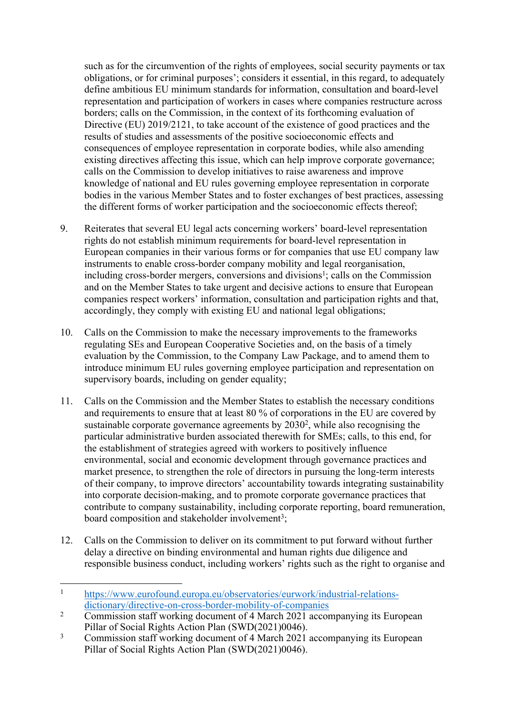such as for the circumvention of the rights of employees, social security payments or tax obligations, or for criminal purposes'; considers it essential, in this regard, to adequately define ambitious EU minimum standards for information, consultation and board-level representation and participation of workers in cases where companies restructure across borders; calls on the Commission, in the context of its forthcoming evaluation of Directive (EU) 2019/2121, to take account of the existence of good practices and the results of studies and assessments of the positive socioeconomic effects and consequences of employee representation in corporate bodies, while also amending existing directives affecting this issue, which can help improve corporate governance; calls on the Commission to develop initiatives to raise awareness and improve knowledge of national and EU rules governing employee representation in corporate bodies in the various Member States and to foster exchanges of best practices, assessing the different forms of worker participation and the socioeconomic effects thereof;

- 9. Reiterates that several EU legal acts concerning workers' board-level representation rights do not establish minimum requirements for board-level representation in European companies in their various forms or for companies that use EU company law instruments to enable cross-border company mobility and legal reorganisation, including cross-border mergers, conversions and divisions<sup>1</sup>; calls on the Commission and on the Member States to take urgent and decisive actions to ensure that European companies respect workers' information, consultation and participation rights and that, accordingly, they comply with existing EU and national legal obligations;
- 10. Calls on the Commission to make the necessary improvements to the frameworks regulating SEs and European Cooperative Societies and, on the basis of a timely evaluation by the Commission, to the Company Law Package, and to amend them to introduce minimum EU rules governing employee participation and representation on supervisory boards, including on gender equality;
- 11. Calls on the Commission and the Member States to establish the necessary conditions and requirements to ensure that at least 80 % of corporations in the EU are covered by sustainable corporate governance agreements by 2030<sup>2</sup>, while also recognising the particular administrative burden associated therewith for SMEs; calls, to this end, for the establishment of strategies agreed with workers to positively influence environmental, social and economic development through governance practices and market presence, to strengthen the role of directors in pursuing the long-term interests of their company, to improve directors' accountability towards integrating sustainability into corporate decision-making, and to promote corporate governance practices that contribute to company sustainability, including corporate reporting, board remuneration, board composition and stakeholder involvement<sup>3</sup>;
- 12. Calls on the Commission to deliver on its commitment to put forward without further delay a directive on binding environmental and human rights due diligence and responsible business conduct, including workers' rights such as the right to organise and

<sup>1</sup> [https://www.eurofound.europa.eu/observatories/eurwork/industrial-relations](https://www.eurofound.europa.eu/observatories/eurwork/industrial-relations-dictionary/directive-on-cross-border-mobility-of-companies)[dictionary/directive-on-cross-border-mobility-of-companies](https://www.eurofound.europa.eu/observatories/eurwork/industrial-relations-dictionary/directive-on-cross-border-mobility-of-companies)

<sup>2</sup> Commission staff working document of 4 March 2021 accompanying its European Pillar of Social Rights Action Plan (SWD(2021)0046).

<sup>3</sup> Commission staff working document of 4 March 2021 accompanying its European Pillar of Social Rights Action Plan (SWD(2021)0046).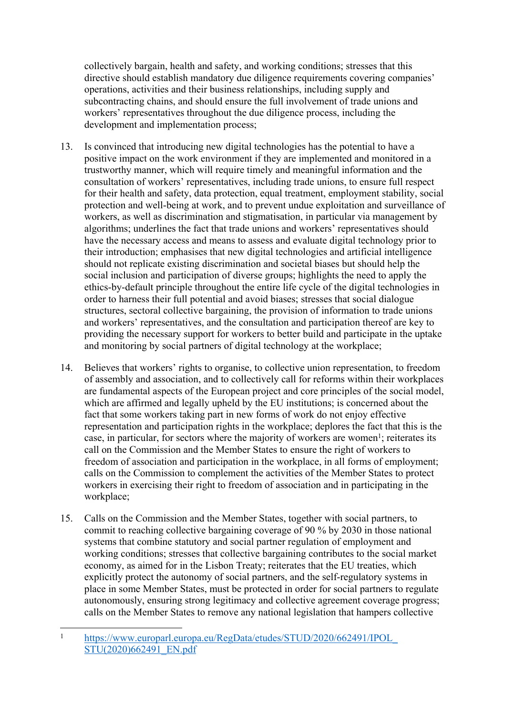collectively bargain, health and safety, and working conditions; stresses that this directive should establish mandatory due diligence requirements covering companies' operations, activities and their business relationships, including supply and subcontracting chains, and should ensure the full involvement of trade unions and workers' representatives throughout the due diligence process, including the development and implementation process;

- 13. Is convinced that introducing new digital technologies has the potential to have a positive impact on the work environment if they are implemented and monitored in a trustworthy manner, which will require timely and meaningful information and the consultation of workers' representatives, including trade unions, to ensure full respect for their health and safety, data protection, equal treatment, employment stability, social protection and well-being at work, and to prevent undue exploitation and surveillance of workers, as well as discrimination and stigmatisation, in particular via management by algorithms; underlines the fact that trade unions and workers' representatives should have the necessary access and means to assess and evaluate digital technology prior to their introduction; emphasises that new digital technologies and artificial intelligence should not replicate existing discrimination and societal biases but should help the social inclusion and participation of diverse groups; highlights the need to apply the ethics-by-default principle throughout the entire life cycle of the digital technologies in order to harness their full potential and avoid biases; stresses that social dialogue structures, sectoral collective bargaining, the provision of information to trade unions and workers' representatives, and the consultation and participation thereof are key to providing the necessary support for workers to better build and participate in the uptake and monitoring by social partners of digital technology at the workplace;
- 14. Believes that workers' rights to organise, to collective union representation, to freedom of assembly and association, and to collectively call for reforms within their workplaces are fundamental aspects of the European project and core principles of the social model, which are affirmed and legally upheld by the EU institutions; is concerned about the fact that some workers taking part in new forms of work do not enjoy effective representation and participation rights in the workplace; deplores the fact that this is the case, in particular, for sectors where the majority of workers are women<sup>1</sup>; reiterates its call on the Commission and the Member States to ensure the right of workers to freedom of association and participation in the workplace, in all forms of employment; calls on the Commission to complement the activities of the Member States to protect workers in exercising their right to freedom of association and in participating in the workplace;
- 15. Calls on the Commission and the Member States, together with social partners, to commit to reaching collective bargaining coverage of 90 % by 2030 in those national systems that combine statutory and social partner regulation of employment and working conditions; stresses that collective bargaining contributes to the social market economy, as aimed for in the Lisbon Treaty; reiterates that the EU treaties, which explicitly protect the autonomy of social partners, and the self-regulatory systems in place in some Member States, must be protected in order for social partners to regulate autonomously, ensuring strong legitimacy and collective agreement coverage progress; calls on the Member States to remove any national legislation that hampers collective

<sup>1</sup> [https://www.europarl.europa.eu/RegData/etudes/STUD/2020/662491/IPOL\\_](https://www.europarl.europa.eu/RegData/etudes/STUD/2020/662491/IPOL_STU(2020)662491_EN.pdf) [STU\(2020\)662491\\_EN.pdf](https://www.europarl.europa.eu/RegData/etudes/STUD/2020/662491/IPOL_STU(2020)662491_EN.pdf)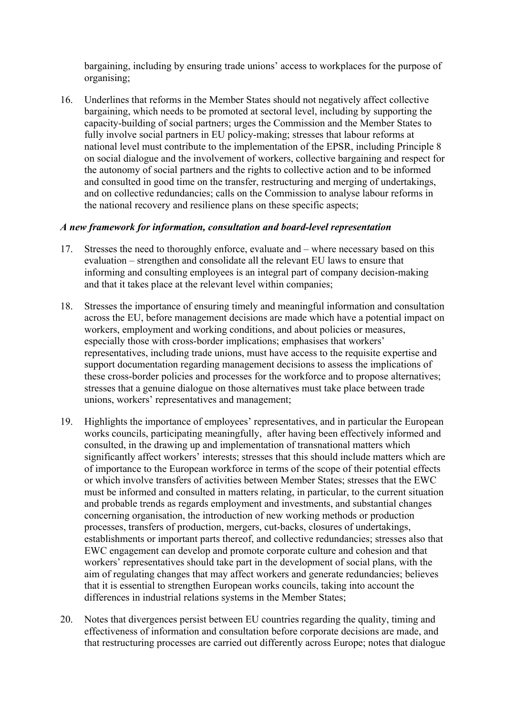bargaining, including by ensuring trade unions' access to workplaces for the purpose of organising;

16. Underlines that reforms in the Member States should not negatively affect collective bargaining, which needs to be promoted at sectoral level, including by supporting the capacity-building of social partners; urges the Commission and the Member States to fully involve social partners in EU policy-making; stresses that labour reforms at national level must contribute to the implementation of the EPSR, including Principle 8 on social dialogue and the involvement of workers, collective bargaining and respect for the autonomy of social partners and the rights to collective action and to be informed and consulted in good time on the transfer, restructuring and merging of undertakings, and on collective redundancies; calls on the Commission to analyse labour reforms in the national recovery and resilience plans on these specific aspects;

#### *A new framework for information, consultation and board-level representation*

- 17. Stresses the need to thoroughly enforce, evaluate and where necessary based on this evaluation – strengthen and consolidate all the relevant EU laws to ensure that informing and consulting employees is an integral part of company decision-making and that it takes place at the relevant level within companies;
- 18. Stresses the importance of ensuring timely and meaningful information and consultation across the EU, before management decisions are made which have a potential impact on workers, employment and working conditions, and about policies or measures, especially those with cross-border implications; emphasises that workers' representatives, including trade unions, must have access to the requisite expertise and support documentation regarding management decisions to assess the implications of these cross-border policies and processes for the workforce and to propose alternatives; stresses that a genuine dialogue on those alternatives must take place between trade unions, workers' representatives and management;
- 19. Highlights the importance of employees' representatives, and in particular the European works councils, participating meaningfully, after having been effectively informed and consulted, in the drawing up and implementation of transnational matters which significantly affect workers' interests; stresses that this should include matters which are of importance to the European workforce in terms of the scope of their potential effects or which involve transfers of activities between Member States; stresses that the EWC must be informed and consulted in matters relating, in particular, to the current situation and probable trends as regards employment and investments, and substantial changes concerning organisation, the introduction of new working methods or production processes, transfers of production, mergers, cut-backs, closures of undertakings, establishments or important parts thereof, and collective redundancies; stresses also that EWC engagement can develop and promote corporate culture and cohesion and that workers' representatives should take part in the development of social plans, with the aim of regulating changes that may affect workers and generate redundancies; believes that it is essential to strengthen European works councils, taking into account the differences in industrial relations systems in the Member States;
- 20. Notes that divergences persist between EU countries regarding the quality, timing and effectiveness of information and consultation before corporate decisions are made, and that restructuring processes are carried out differently across Europe; notes that dialogue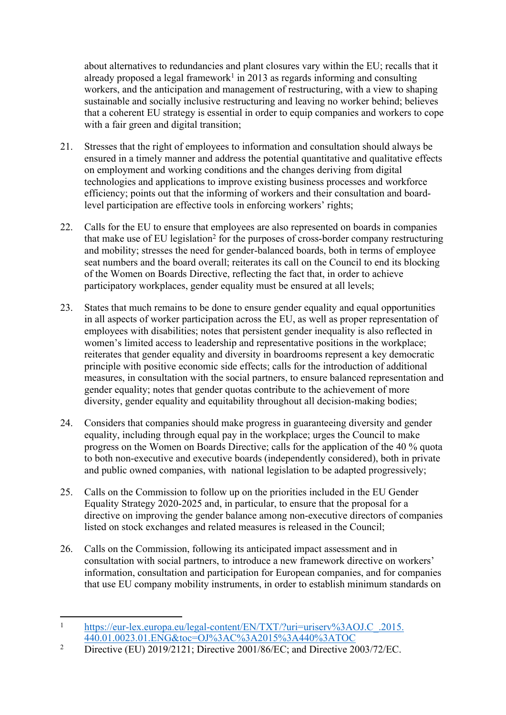about alternatives to redundancies and plant closures vary within the EU; recalls that it already proposed a legal framework<sup>1</sup> in 2013 as regards informing and consulting workers, and the anticipation and management of restructuring, with a view to shaping sustainable and socially inclusive restructuring and leaving no worker behind; believes that a coherent EU strategy is essential in order to equip companies and workers to cope with a fair green and digital transition;

- 21. Stresses that the right of employees to information and consultation should always be ensured in a timely manner and address the potential quantitative and qualitative effects on employment and working conditions and the changes deriving from digital technologies and applications to improve existing business processes and workforce efficiency; points out that the informing of workers and their consultation and boardlevel participation are effective tools in enforcing workers' rights;
- 22. Calls for the EU to ensure that employees are also represented on boards in companies that make use of EU legislation<sup>2</sup> for the purposes of cross-border company restructuring and mobility; stresses the need for gender-balanced boards, both in terms of employee seat numbers and the board overall; reiterates its call on the Council to end its blocking of the Women on Boards Directive, reflecting the fact that, in order to achieve participatory workplaces, gender equality must be ensured at all levels;
- 23. States that much remains to be done to ensure gender equality and equal opportunities in all aspects of worker participation across the EU, as well as proper representation of employees with disabilities; notes that persistent gender inequality is also reflected in women's limited access to leadership and representative positions in the workplace; reiterates that gender equality and diversity in boardrooms represent a key democratic principle with positive economic side effects; calls for the introduction of additional measures, in consultation with the social partners, to ensure balanced representation and gender equality; notes that gender quotas contribute to the achievement of more diversity, gender equality and equitability throughout all decision-making bodies;
- 24. Considers that companies should make progress in guaranteeing diversity and gender equality, including through equal pay in the workplace; urges the Council to make progress on the Women on Boards Directive; calls for the application of the 40 % quota to both non-executive and executive boards (independently considered), both in private and public owned companies, with national legislation to be adapted progressively;
- 25. Calls on the Commission to follow up on the priorities included in the EU Gender Equality Strategy 2020-2025 and, in particular, to ensure that the proposal for a directive on improving the gender balance among non-executive directors of companies listed on stock exchanges and related measures is released in the Council;
- 26. Calls on the Commission, following its anticipated impact assessment and in consultation with social partners, to introduce a new framework directive on workers' information, consultation and participation for European companies, and for companies that use EU company mobility instruments, in order to establish minimum standards on

<sup>&</sup>lt;sup>1</sup> https://eur-lex.europa.eu/legal-content/EN/TXT/?uri=uriserv%3AOJ.C .2015. [440.01.0023.01.ENG&toc=OJ%3AC%3A2015%3A440%3ATOC](https://eur-lex.europa.eu/legal-content/EN/TXT/?uri=uriserv%3AOJ.C_.2015.440.01.0023.01.ENG&toc=OJ%3AC%3A2015%3A440%3ATOC)

<sup>2</sup> Directive (EU) 2019/2121; Directive 2001/86/EC; and Directive 2003/72/EC.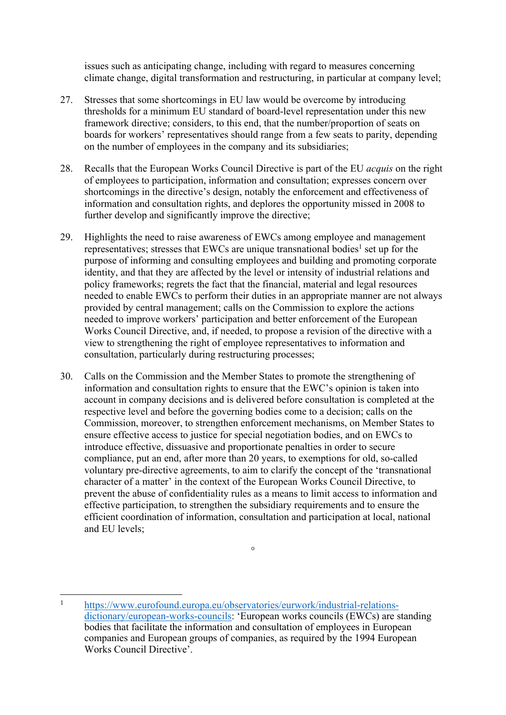issues such as anticipating change, including with regard to measures concerning climate change, digital transformation and restructuring, in particular at company level;

- 27. Stresses that some shortcomings in EU law would be overcome by introducing thresholds for a minimum EU standard of board-level representation under this new framework directive; considers, to this end, that the number/proportion of seats on boards for workers' representatives should range from a few seats to parity, depending on the number of employees in the company and its subsidiaries;
- 28. Recalls that the European Works Council Directive is part of the EU *acquis* on the right of employees to participation, information and consultation; expresses concern over shortcomings in the directive's design, notably the enforcement and effectiveness of information and consultation rights, and deplores the opportunity missed in 2008 to further develop and significantly improve the directive;
- 29. Highlights the need to raise awareness of EWCs among employee and management representatives; stresses that EWCs are unique transnational bodies<sup>1</sup> set up for the purpose of informing and consulting employees and building and promoting corporate identity, and that they are affected by the level or intensity of industrial relations and policy frameworks; regrets the fact that the financial, material and legal resources needed to enable EWCs to perform their duties in an appropriate manner are not always provided by central management; calls on the Commission to explore the actions needed to improve workers' participation and better enforcement of the European Works Council Directive, and, if needed, to propose a revision of the directive with a view to strengthening the right of employee representatives to information and consultation, particularly during restructuring processes;
- 30. Calls on the Commission and the Member States to promote the strengthening of information and consultation rights to ensure that the EWC's opinion is taken into account in company decisions and is delivered before consultation is completed at the respective level and before the governing bodies come to a decision; calls on the Commission, moreover, to strengthen enforcement mechanisms, on Member States to ensure effective access to justice for special negotiation bodies, and on EWCs to introduce effective, dissuasive and proportionate penalties in order to secure compliance, put an end, after more than 20 years, to exemptions for old, so-called voluntary pre-directive agreements, to aim to clarify the concept of the 'transnational character of a matter' in the context of the European Works Council Directive, to prevent the abuse of confidentiality rules as a means to limit access to information and effective participation, to strengthen the subsidiary requirements and to ensure the efficient coordination of information, consultation and participation at local, national and EU levels;

 $\circ$ 

<sup>1</sup> [https://www.eurofound.europa.eu/observatories/eurwork/industrial-relations](https://www.eurofound.europa.eu/observatories/eurwork/industrial-relations-dictionary/european-works-councils)[dictionary/european-works-councils:](https://www.eurofound.europa.eu/observatories/eurwork/industrial-relations-dictionary/european-works-councils) 'European works councils (EWCs) are standing bodies that facilitate the information and consultation of employees in European companies and European groups of companies, as required by the 1994 European Works Council Directive'.